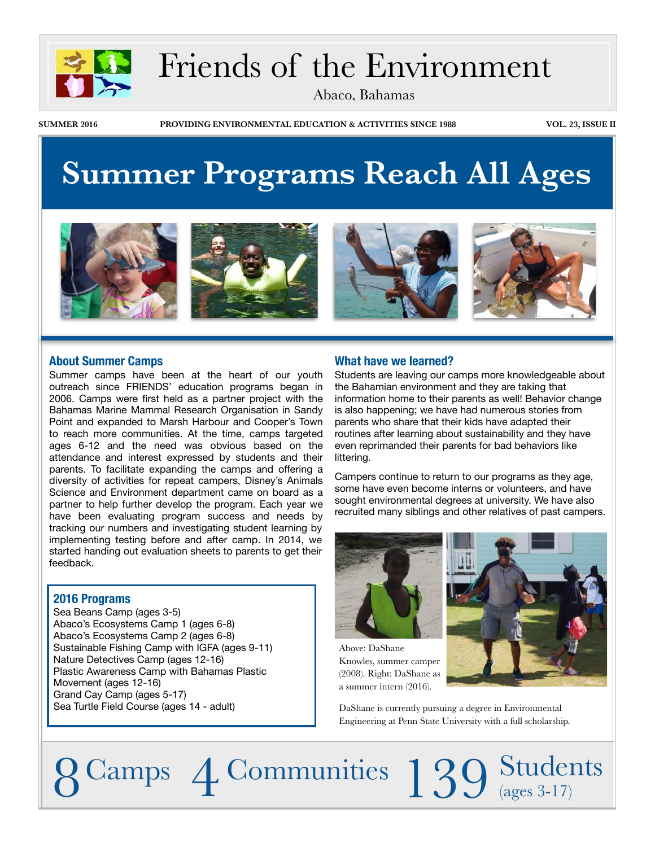

## Friends of the Environment

Abaco, Bahamas

**SUMMER 2016 PROVIDING ENVIRONMENTAL EDUCATION & ACTIVITIES SINCE 1988 VOL. 23, ISSUE II**

## **Summer Programs Reach All Ages**



#### **About Summer Camps**

Summer camps have been at the heart of our youth outreach since FRIENDS' education programs began in 2006. Camps were first held as a partner project with the Bahamas Marine Mammal Research Organisation in Sandy Point and expanded to Marsh Harbour and Cooper's Town to reach more communities. At the time, camps targeted ages 6-12 and the need was obvious based on the attendance and interest expressed by students and their parents. To facilitate expanding the camps and offering a diversity of activities for repeat campers, Disney's Animals Science and Environment department came on board as a partner to help further develop the program. Each year we have been evaluating program success and needs by tracking our numbers and investigating student learning by implementing testing before and after camp. In 2014, we started handing out evaluation sheets to parents to get their feedback.

### **2016 Programs**

Sea Beans Camp (ages 3-5) Abaco's Ecosystems Camp 1 (ages 6-8) Abaco's Ecosystems Camp 2 (ages 6-8) Sustainable Fishing Camp with IGFA (ages 9-11) Nature Detectives Camp (ages 12-16) Plastic Awareness Camp with Bahamas Plastic Movement (ages 12-16) Grand Cay Camp (ages 5-17) Sea Turtle Field Course (ages 14 - adult)

### **What have we learned?**

Students are leaving our camps more knowledgeable about the Bahamian environment and they are taking that information home to their parents as well! Behavior change is also happening; we have had numerous stories from parents who share that their kids have adapted their routines after learning about sustainability and they have even reprimanded their parents for bad behaviors like littering.

Campers continue to return to our programs as they age, some have even become interns or volunteers, and have sought environmental degrees at university. We have also recruited many siblings and other relatives of past campers.



Above: DaShane Knowles, summer camper (2008). Right: DaShane as a summer intern (2016).



DaShane is currently pursuing a degree in Environmental Engineering at Penn State University with a full scholarship.

8 Camps 4 Communities 139 Students (ages 3-17)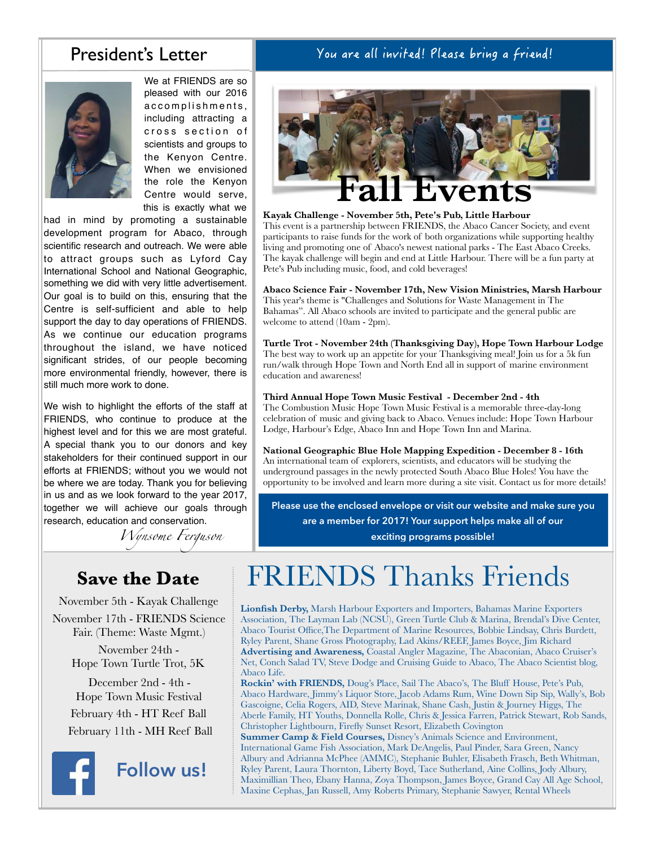### President's Letter

You are all invited! Please bring a friend!



We at FRIENDS are so pleased with our 2016 accomplishments, including attracting a cross section of scientists and groups to the Kenyon Centre. When we envisioned the role the Kenyon Centre would serve, this is exactly what we

had in mind by promoting a sustainable development program for Abaco, through scientific research and outreach. We were able to attract groups such as Lyford Cay International School and National Geographic, something we did with very little advertisement. Our goal is to build on this, ensuring that the Centre is self-sufficient and able to help support the day to day operations of FRIENDS. As we continue our education programs throughout the island, we have noticed significant strides, of our people becoming more environmental friendly, however, there is still much more work to done.

We wish to highlight the efforts of the staff at FRIENDS, who continue to produce at the highest level and for this we are most grateful. A special thank you to our donors and key stakeholders for their continued support in our efforts at FRIENDS; without you we would not be where we are today. Thank you for believing in us and as we look forward to the year 2017, together we will achieve our goals through research, education and conservation.

*Wynsome Ferguson*

## **Save the Date**

November 5th - Kayak Challenge November 17th - FRIENDS Science Fair. (Theme: Waste Mgmt.)

> November 24th - Hope Town Turtle Trot, 5K

 December 2nd - 4th - Hope Town Music Festival February 4th - HT Reef Ball February 11th - MH Reef Ball



**Follow us!**



#### **Kayak Challenge - November 5th, Pete's Pub, Little Harbour**

This event is a partnership between FRIENDS, the Abaco Cancer Society, and event participants to raise funds for the work of both organizations while supporting healthy living and promoting one of Abaco's newest national parks - The East Abaco Creeks. The kayak challenge will begin and end at Little Harbour. There will be a fun party at Pete's Pub including music, food, and cold beverages!

**Abaco Science Fair - November 17th, New Vision Ministries, Marsh Harbour** This year's theme is "Challenges and Solutions for Waste Management in The Bahamas". All Abaco schools are invited to participate and the general public are welcome to attend (10am - 2pm).

**Turtle Trot - November 24th (Thanksgiving Day), Hope Town Harbour Lodge** The best way to work up an appetite for your Thanksgiving meal! Join us for a 5k fun run/walk through Hope Town and North End all in support of marine environment education and awareness!

#### **Third Annual Hope Town Music Festival - December 2nd - 4th**

The Combustion Music Hope Town Music Festival is a memorable three-day-long celebration of music and giving back to Abaco. Venues include: Hope Town Harbour Lodge, Harbour's Edge, Abaco Inn and Hope Town Inn and Marina.

**National Geographic Blue Hole Mapping Expedition - December 8 - 16th** An international team of explorers, scientists, and educators will be studying the underground passages in the newly protected South Abaco Blue Holes! You have the opportunity to be involved and learn more during a site visit. Contact us for more details!

**Please use the enclosed envelope or visit our website and make sure you are a member for 2017! Your support helps make all of our** 

**exciting programs possible!**

## FRIENDS Thanks Friends

**Lionfish Derby,** Marsh Harbour Exporters and Importers, Bahamas Marine Exporters Association, The Layman Lab (NCSU), Green Turtle Club & Marina, Brendal's Dive Center, Abaco Tourist Office,The Department of Marine Resources, Bobbie Lindsay, Chris Burdett, Ryley Parent, Shane Gross Photography, Lad Akins/REEF, James Boyce, Jim Richard **Advertising and Awareness,** Coastal Angler Magazine, The Abaconian, Abaco Cruiser's Net, Conch Salad TV, Steve Dodge and Cruising Guide to Abaco, The Abaco Scientist blog, Abaco Life.

**Rockin' with FRIENDS,** Doug's Place, Sail The Abaco's, The Bluff House, Pete's Pub, Abaco Hardware, Jimmy's Liquor Store, Jacob Adams Rum, Wine Down Sip Sip, Wally's, Bob Gascoigne, Celia Rogers, AID, Steve Marinak, Shane Cash, Justin & Journey Higgs, The Aberle Family, HT Youths, Donnella Rolle, Chris & Jessica Farren, Patrick Stewart, Rob Sands, Christopher Lightbourn, Firefly Sunset Resort, Elizabeth Covington

**Summer Camp & Field Courses,** Disney's Animals Science and Environment, International Game Fish Association, Mark DeAngelis, Paul Pinder, Sara Green, Nancy Albury and Adrianna McPhee (AMMC), Stephanie Buhler, Elisabeth Frasch, Beth Whitman, Ryley Parent, Laura Thornton, Liberty Boyd, Tace Sutherland, Aine Collins, Jody Albury, Maximillian Theo, Ebany Hanna, Zoya Thompson, James Boyce, Grand Cay All Age School, Maxine Cephas, Jan Russell, Amy Roberts Primary, Stephanie Sawyer, Rental Wheels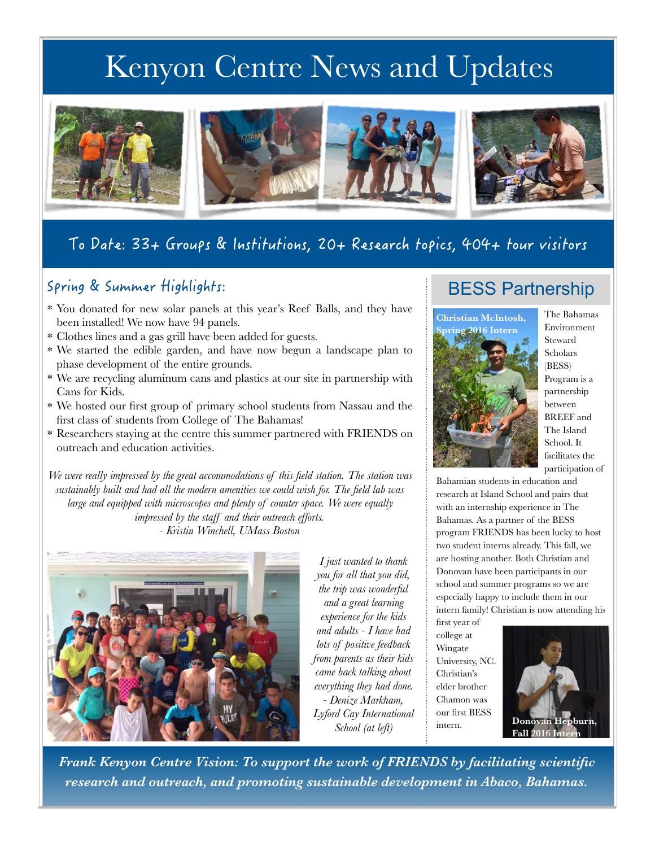## Kenyon Centre News and Updates



## To Date: 33+ Groups & Institutions, 20+ Research topics, 404+ tour visitors

### Spring & Summer Highlights:

- \* You donated for new solar panels at this year's Reef Balls, and they have been installed! We now have 94 panels.
- \* Clothes lines and a gas grill have been added for guests.
- \* We started the edible garden, and have now begun a landscape plan to phase development of the entire grounds.
- \* We are recycling aluminum cans and plastics at our site in partnership with Cans for Kids.
- \* We hosted our first group of primary school students from Nassau and the first class of students from College of The Bahamas!
- \* Researchers staying at the centre this summer partnered with FRIENDS on outreach and education activities.

*We were really impressed by the great accommodations of this field station. The station was sustainably built and had all the modern amenities we could wish for. The field lab was large and equipped with microscopes and plenty of counter space. We were equally impressed by the staff and their outreach efforts. - Kristin Winchell, UMass Boston*



*I just wanted to thank you for all that you did, the trip was wonderful and a great learning experience for the kids and adults - I have had lots of positive feedback from parents as their kids came back talking about everything they had done. - Denize Markham, Lyford Cay International School (at left)*

### BESS Partnership



The Bahamas Environment Steward Scholars (BESS) Program is a partnership between BREEF and The Island School. It facilitates the participation of

Bahamian students in education and research at Island School and pairs that with an internship experience in The Bahamas. As a partner of the BESS program FRIENDS has been lucky to host two student interns already. This fall, we are hosting another. Both Christian and Donovan have been participants in our school and summer programs so we are especially happy to include them in our intern family! Christian is now attending his

first year of college at Wingate University, NC. Christian's elder brother Chamon was our first BESS intern.



*Frank Kenyon Centre Vision: To support the work of FRIENDS by facilitating scientific research and outreach, and promoting sustainable development in Abaco, Bahamas.*